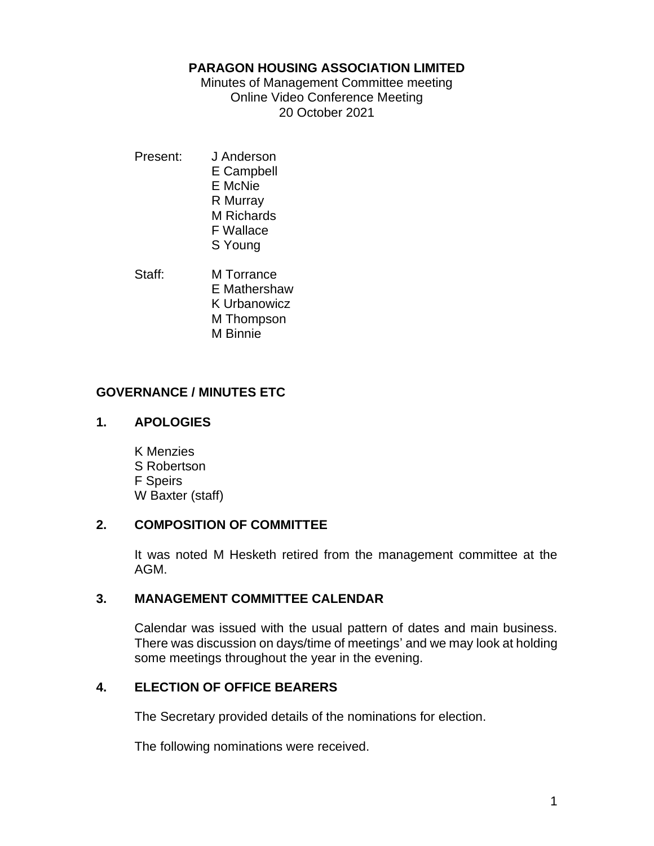### **PARAGON HOUSING ASSOCIATION LIMITED**

Minutes of Management Committee meeting Online Video Conference Meeting 20 October 2021

- Present: J Anderson E Campbell E McNie R Murray M Richards F Wallace S Young
- Staff: M Torrance E Mathershaw K Urbanowicz M Thompson M Binnie

# **GOVERNANCE / MINUTES ETC**

## **1. APOLOGIES**

K Menzies S Robertson F Speirs W Baxter (staff)

### **2. COMPOSITION OF COMMITTEE**

It was noted M Hesketh retired from the management committee at the AGM.

### **3. MANAGEMENT COMMITTEE CALENDAR**

Calendar was issued with the usual pattern of dates and main business. There was discussion on days/time of meetings' and we may look at holding some meetings throughout the year in the evening.

# **4. ELECTION OF OFFICE BEARERS**

The Secretary provided details of the nominations for election.

The following nominations were received.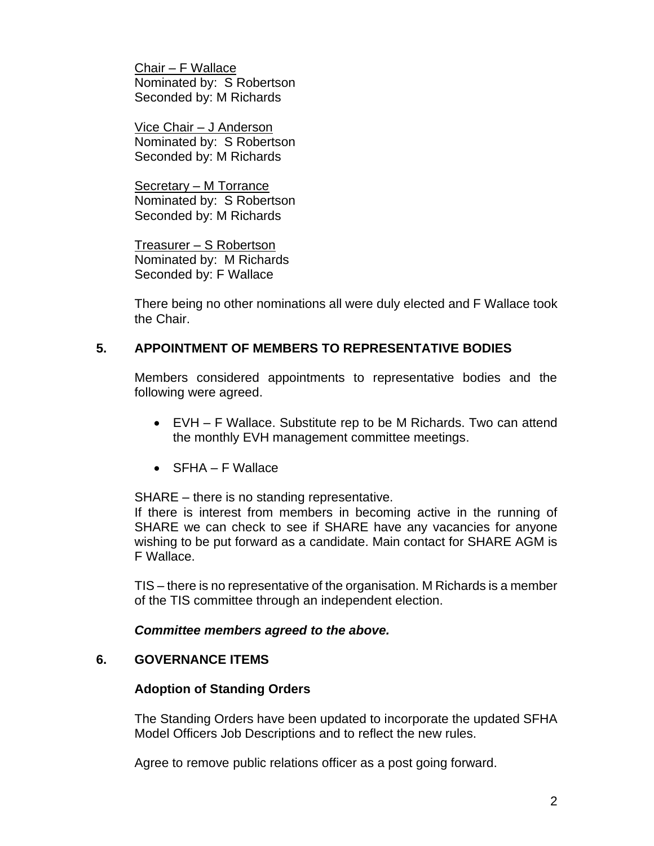Chair – F Wallace Nominated by: S Robertson Seconded by: M Richards

Vice Chair – J Anderson Nominated by: S Robertson Seconded by: M Richards

Secretary – M Torrance Nominated by: S Robertson Seconded by: M Richards

Treasurer – S Robertson Nominated by: M Richards Seconded by: F Wallace

There being no other nominations all were duly elected and F Wallace took the Chair.

# **5. APPOINTMENT OF MEMBERS TO REPRESENTATIVE BODIES**

Members considered appointments to representative bodies and the following were agreed.

- EVH F Wallace. Substitute rep to be M Richards. Two can attend the monthly EVH management committee meetings.
- SFHA F Wallace

SHARE – there is no standing representative.

If there is interest from members in becoming active in the running of SHARE we can check to see if SHARE have any vacancies for anyone wishing to be put forward as a candidate. Main contact for SHARE AGM is F Wallace.

TIS – there is no representative of the organisation. M Richards is a member of the TIS committee through an independent election.

### *Committee members agreed to the above.*

# **6. GOVERNANCE ITEMS**

### **Adoption of Standing Orders**

The Standing Orders have been updated to incorporate the updated SFHA Model Officers Job Descriptions and to reflect the new rules.

Agree to remove public relations officer as a post going forward.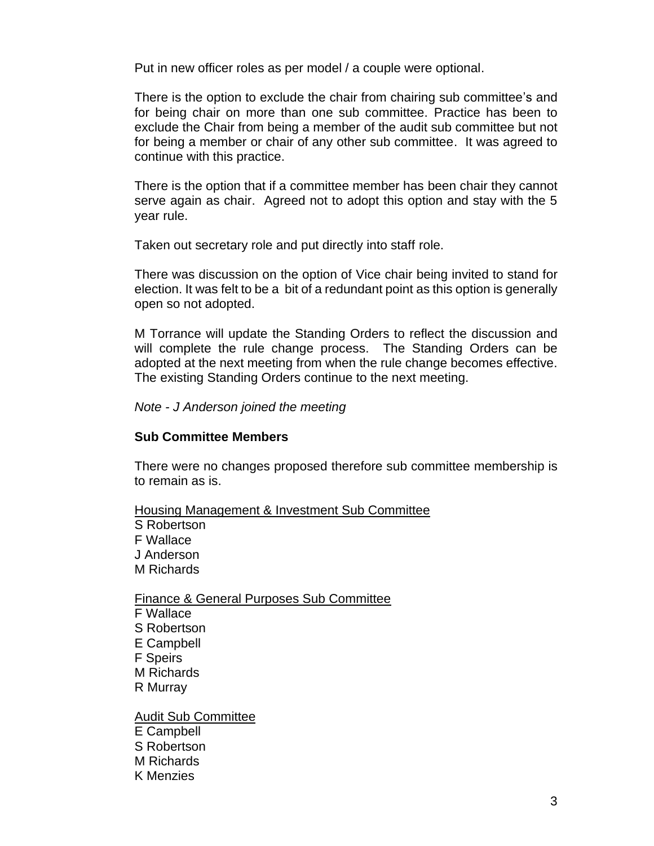Put in new officer roles as per model / a couple were optional.

There is the option to exclude the chair from chairing sub committee's and for being chair on more than one sub committee. Practice has been to exclude the Chair from being a member of the audit sub committee but not for being a member or chair of any other sub committee. It was agreed to continue with this practice.

There is the option that if a committee member has been chair they cannot serve again as chair. Agreed not to adopt this option and stay with the 5 year rule.

Taken out secretary role and put directly into staff role.

There was discussion on the option of Vice chair being invited to stand for election. It was felt to be a bit of a redundant point as this option is generally open so not adopted.

M Torrance will update the Standing Orders to reflect the discussion and will complete the rule change process. The Standing Orders can be adopted at the next meeting from when the rule change becomes effective. The existing Standing Orders continue to the next meeting.

*Note - J Anderson joined the meeting*

#### **Sub Committee Members**

There were no changes proposed therefore sub committee membership is to remain as is.

Housing Management & Investment Sub Committee S Robertson F Wallace J Anderson M Richards

Finance & General Purposes Sub Committee F Wallace S Robertson E Campbell F Speirs M Richards

R Murray

Audit Sub Committee E Campbell S Robertson M Richards K Menzies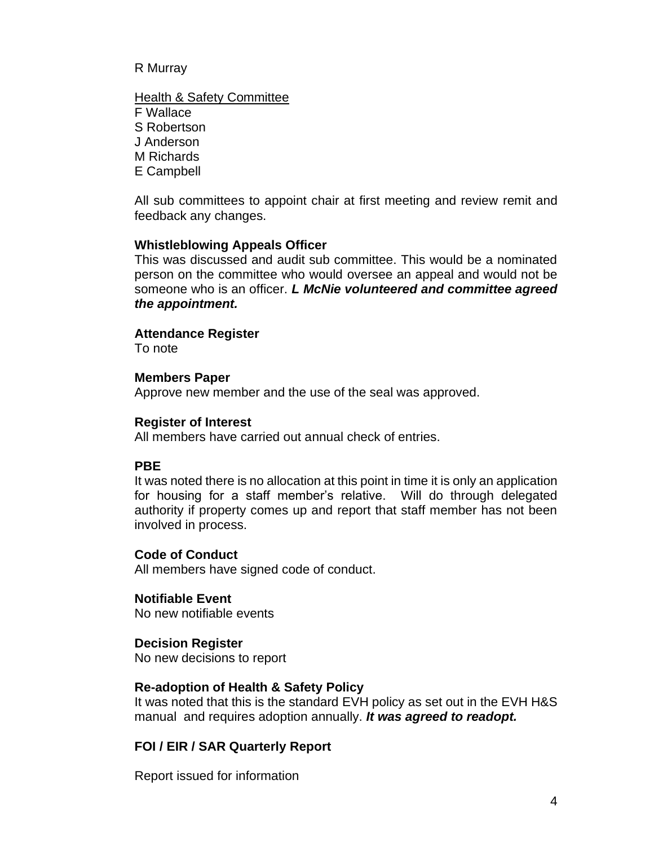#### R Murray

**Health & Safety Committee** F Wallace S Robertson J Anderson M Richards E Campbell

All sub committees to appoint chair at first meeting and review remit and feedback any changes.

#### **Whistleblowing Appeals Officer**

This was discussed and audit sub committee. This would be a nominated person on the committee who would oversee an appeal and would not be someone who is an officer. *L McNie volunteered and committee agreed the appointment.*

#### **Attendance Register**

To note

#### **Members Paper**

Approve new member and the use of the seal was approved.

#### **Register of Interest**

All members have carried out annual check of entries.

### **PBE**

It was noted there is no allocation at this point in time it is only an application for housing for a staff member's relative. Will do through delegated authority if property comes up and report that staff member has not been involved in process.

#### **Code of Conduct**

All members have signed code of conduct.

### **Notifiable Event**

No new notifiable events

#### **Decision Register**

No new decisions to report

#### **Re-adoption of Health & Safety Policy**

It was noted that this is the standard EVH policy as set out in the EVH H&S manual and requires adoption annually. *It was agreed to readopt.*

### **FOI / EIR / SAR Quarterly Report**

Report issued for information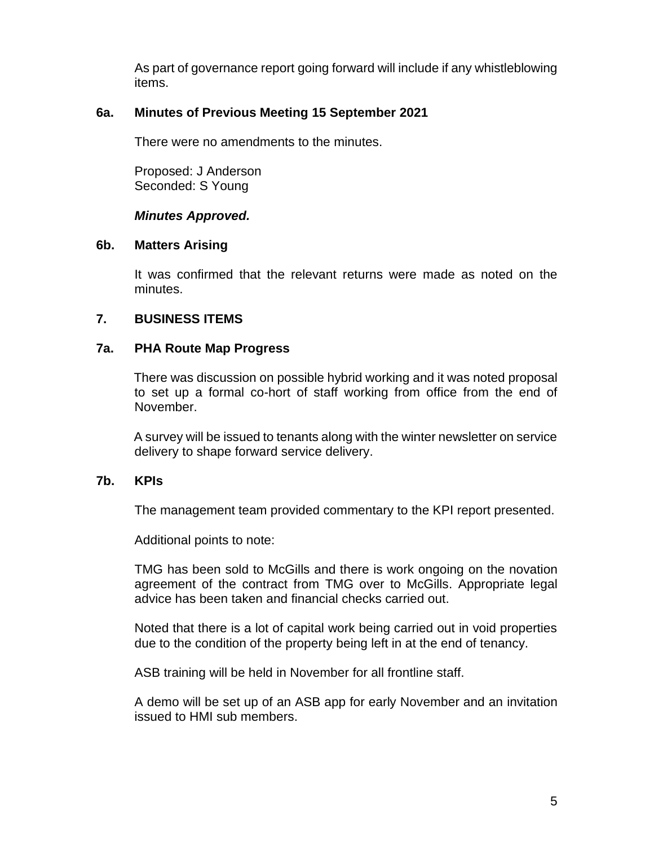As part of governance report going forward will include if any whistleblowing items.

### **6a. Minutes of Previous Meeting 15 September 2021**

There were no amendments to the minutes.

Proposed: J Anderson Seconded: S Young

### *Minutes Approved.*

### **6b. Matters Arising**

It was confirmed that the relevant returns were made as noted on the minutes.

## **7. BUSINESS ITEMS**

## **7a. PHA Route Map Progress**

There was discussion on possible hybrid working and it was noted proposal to set up a formal co-hort of staff working from office from the end of November.

A survey will be issued to tenants along with the winter newsletter on service delivery to shape forward service delivery.

### **7b. KPIs**

The management team provided commentary to the KPI report presented.

Additional points to note:

TMG has been sold to McGills and there is work ongoing on the novation agreement of the contract from TMG over to McGills. Appropriate legal advice has been taken and financial checks carried out.

Noted that there is a lot of capital work being carried out in void properties due to the condition of the property being left in at the end of tenancy.

ASB training will be held in November for all frontline staff.

A demo will be set up of an ASB app for early November and an invitation issued to HMI sub members.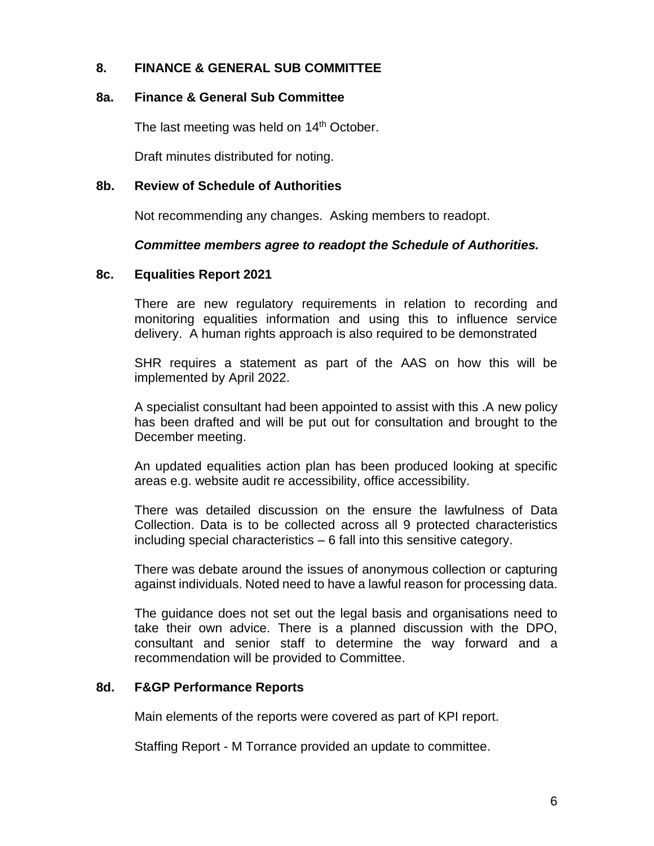## **8. FINANCE & GENERAL SUB COMMITTEE**

### **8a. Finance & General Sub Committee**

The last meeting was held on 14<sup>th</sup> October.

Draft minutes distributed for noting.

### **8b. Review of Schedule of Authorities**

Not recommending any changes. Asking members to readopt.

### *Committee members agree to readopt the Schedule of Authorities.*

### **8c. Equalities Report 2021**

There are new regulatory requirements in relation to recording and monitoring equalities information and using this to influence service delivery. A human rights approach is also required to be demonstrated

SHR requires a statement as part of the AAS on how this will be implemented by April 2022.

A specialist consultant had been appointed to assist with this .A new policy has been drafted and will be put out for consultation and brought to the December meeting.

An updated equalities action plan has been produced looking at specific areas e.g. website audit re accessibility, office accessibility.

There was detailed discussion on the ensure the lawfulness of Data Collection. Data is to be collected across all 9 protected characteristics including special characteristics – 6 fall into this sensitive category.

There was debate around the issues of anonymous collection or capturing against individuals. Noted need to have a lawful reason for processing data.

The guidance does not set out the legal basis and organisations need to take their own advice. There is a planned discussion with the DPO, consultant and senior staff to determine the way forward and a recommendation will be provided to Committee.

### **8d. F&GP Performance Reports**

Main elements of the reports were covered as part of KPI report.

Staffing Report - M Torrance provided an update to committee.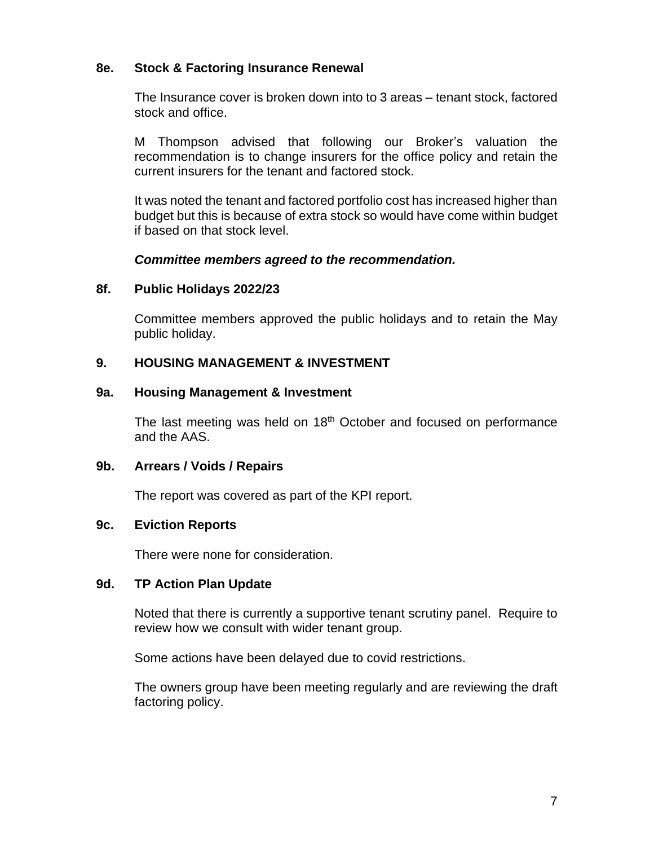### **8e. Stock & Factoring Insurance Renewal**

The Insurance cover is broken down into to 3 areas – tenant stock, factored stock and office.

M Thompson advised that following our Broker's valuation the recommendation is to change insurers for the office policy and retain the current insurers for the tenant and factored stock.

It was noted the tenant and factored portfolio cost has increased higher than budget but this is because of extra stock so would have come within budget if based on that stock level.

### *Committee members agreed to the recommendation.*

### **8f. Public Holidays 2022/23**

Committee members approved the public holidays and to retain the May public holiday.

### **9. HOUSING MANAGEMENT & INVESTMENT**

#### **9a. Housing Management & Investment**

The last meeting was held on  $18<sup>th</sup>$  October and focused on performance and the AAS.

#### **9b. Arrears / Voids / Repairs**

The report was covered as part of the KPI report.

#### **9c. Eviction Reports**

There were none for consideration.

### **9d. TP Action Plan Update**

Noted that there is currently a supportive tenant scrutiny panel. Require to review how we consult with wider tenant group.

Some actions have been delayed due to covid restrictions.

The owners group have been meeting regularly and are reviewing the draft factoring policy.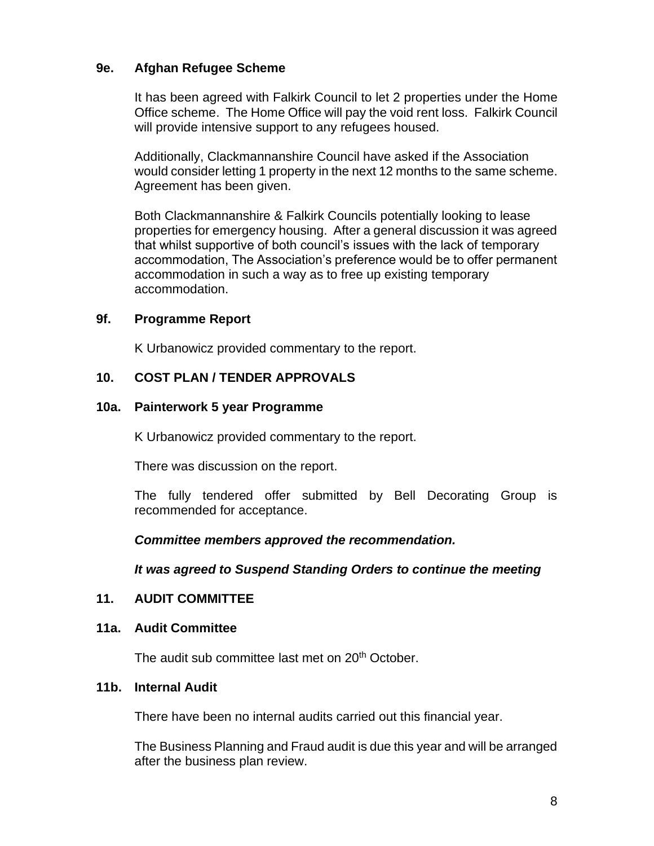## **9e. Afghan Refugee Scheme**

It has been agreed with Falkirk Council to let 2 properties under the Home Office scheme. The Home Office will pay the void rent loss. Falkirk Council will provide intensive support to any refugees housed.

Additionally, Clackmannanshire Council have asked if the Association would consider letting 1 property in the next 12 months to the same scheme. Agreement has been given.

Both Clackmannanshire & Falkirk Councils potentially looking to lease properties for emergency housing. After a general discussion it was agreed that whilst supportive of both council's issues with the lack of temporary accommodation, The Association's preference would be to offer permanent accommodation in such a way as to free up existing temporary accommodation.

### **9f. Programme Report**

K Urbanowicz provided commentary to the report.

## **10. COST PLAN / TENDER APPROVALS**

### **10a. Painterwork 5 year Programme**

K Urbanowicz provided commentary to the report.

There was discussion on the report.

The fully tendered offer submitted by Bell Decorating Group is recommended for acceptance.

*Committee members approved the recommendation.*

*It was agreed to Suspend Standing Orders to continue the meeting*

### **11. AUDIT COMMITTEE**

#### **11a. Audit Committee**

The audit sub committee last met on 20<sup>th</sup> October.

### **11b. Internal Audit**

There have been no internal audits carried out this financial year.

The Business Planning and Fraud audit is due this year and will be arranged after the business plan review.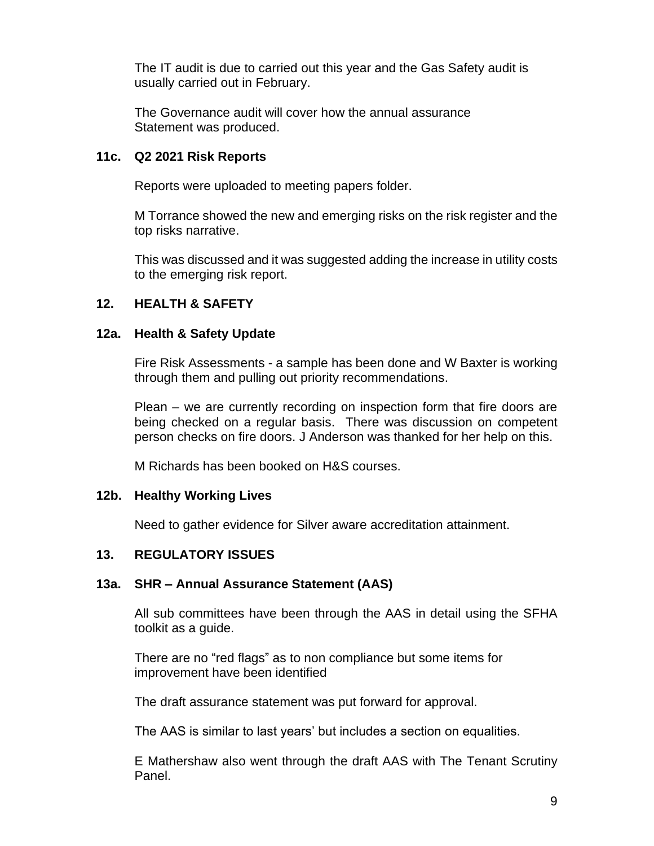The IT audit is due to carried out this year and the Gas Safety audit is usually carried out in February.

The Governance audit will cover how the annual assurance Statement was produced.

### **11c. Q2 2021 Risk Reports**

Reports were uploaded to meeting papers folder.

M Torrance showed the new and emerging risks on the risk register and the top risks narrative.

This was discussed and it was suggested adding the increase in utility costs to the emerging risk report.

## **12. HEALTH & SAFETY**

### **12a. Health & Safety Update**

Fire Risk Assessments - a sample has been done and W Baxter is working through them and pulling out priority recommendations.

Plean – we are currently recording on inspection form that fire doors are being checked on a regular basis. There was discussion on competent person checks on fire doors. J Anderson was thanked for her help on this.

M Richards has been booked on H&S courses.

### **12b. Healthy Working Lives**

Need to gather evidence for Silver aware accreditation attainment.

### **13. REGULATORY ISSUES**

### **13a. SHR – Annual Assurance Statement (AAS)**

All sub committees have been through the AAS in detail using the SFHA toolkit as a guide.

There are no "red flags" as to non compliance but some items for improvement have been identified

The draft assurance statement was put forward for approval.

The AAS is similar to last years' but includes a section on equalities.

E Mathershaw also went through the draft AAS with The Tenant Scrutiny Panel.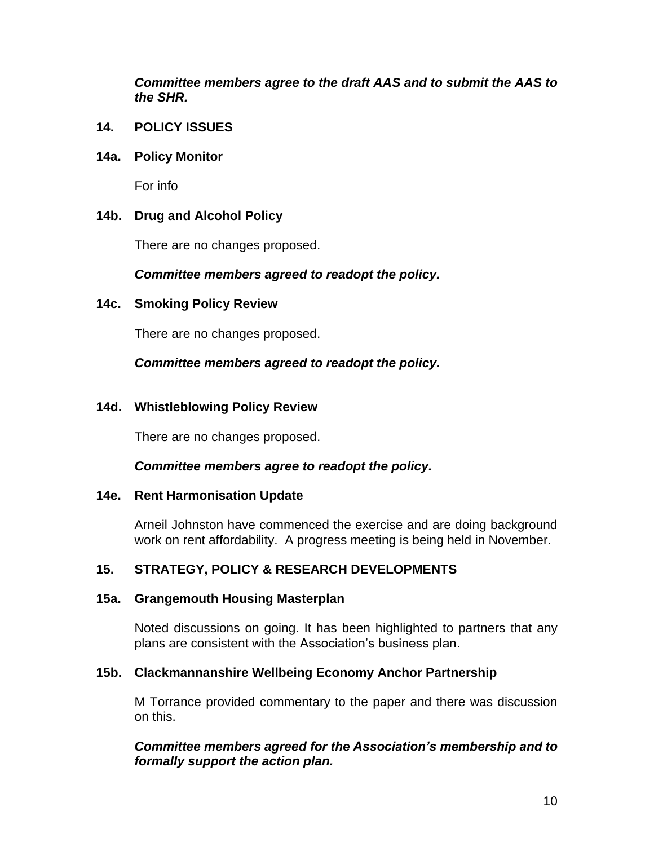*Committee members agree to the draft AAS and to submit the AAS to the SHR.*

**14. POLICY ISSUES**

### **14a. Policy Monitor**

For info

### **14b. Drug and Alcohol Policy**

There are no changes proposed.

### *Committee members agreed to readopt the policy.*

### **14c. Smoking Policy Review**

There are no changes proposed.

### *Committee members agreed to readopt the policy.*

### **14d. Whistleblowing Policy Review**

There are no changes proposed.

### *Committee members agree to readopt the policy.*

#### **14e. Rent Harmonisation Update**

Arneil Johnston have commenced the exercise and are doing background work on rent affordability. A progress meeting is being held in November.

### **15. STRATEGY, POLICY & RESEARCH DEVELOPMENTS**

#### **15a. Grangemouth Housing Masterplan**

Noted discussions on going. It has been highlighted to partners that any plans are consistent with the Association's business plan.

#### **15b. Clackmannanshire Wellbeing Economy Anchor Partnership**

M Torrance provided commentary to the paper and there was discussion on this.

### *Committee members agreed for the Association's membership and to formally support the action plan.*